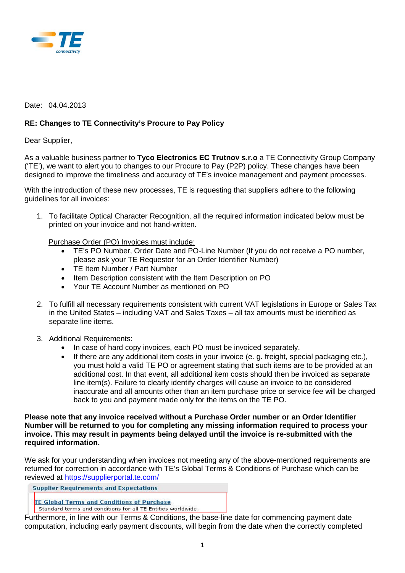

## Date: 04.04.2013

## **RE: Changes to TE Connectivity's Procure to Pay Policy**

Dear Supplier,

As a valuable business partner to **Tyco Electronics EC Trutnov s.r.o** a TE Connectivity Group Company ('TE'), we want to alert you to changes to our Procure to Pay (P2P) policy. These changes have been designed to improve the timeliness and accuracy of TE's invoice management and payment processes.

With the introduction of these new processes, TE is requesting that suppliers adhere to the following guidelines for all invoices:

1. To facilitate Optical Character Recognition, all the required information indicated below must be printed on your invoice and not hand-written.

Purchase Order (PO) Invoices must include:

- TE's PO Number, Order Date and PO-Line Number (If you do not receive a PO number, please ask your TE Requestor for an Order Identifier Number)
- TE Item Number / Part Number
- Item Description consistent with the Item Description on PO
- Your TE Account Number as mentioned on PO
- 2. To fulfill all necessary requirements consistent with current VAT legislations in Europe or Sales Tax in the United States – including VAT and Sales Taxes – all tax amounts must be identified as separate line items.
- 3. Additional Requirements:
	- In case of hard copy invoices, each PO must be invoiced separately.
	- If there are any additional item costs in your invoice (e. g. freight, special packaging etc.), you must hold a valid TE PO or agreement stating that such items are to be provided at an additional cost. In that event, all additional item costs should then be invoiced as separate line item(s). Failure to clearly identify charges will cause an invoice to be considered inaccurate and all amounts other than an item purchase price or service fee will be charged back to you and payment made only for the items on the TE PO.

**Please note that any invoice received without a Purchase Order number or an Order Identifier Number will be returned to you for completing any missing information required to process your invoice. This may result in payments being delayed until the invoice is re-submitted with the required information.** 

We ask for your understanding when invoices not meeting any of the above-mentioned requirements are returned for correction in accordance with TE's Global Terms & Conditions of Purchase which can be reviewed at<https://supplierportal.te.com/>

**Supplier Requirements and Expectations** 

**TE Global Terms and Conditions of Purchase** 

Standard terms and conditions for all TE Entities worldwide.

Furthermore, in line with our Terms & Conditions, the base-line date for commencing payment date computation, including early payment discounts, will begin from the date when the correctly completed